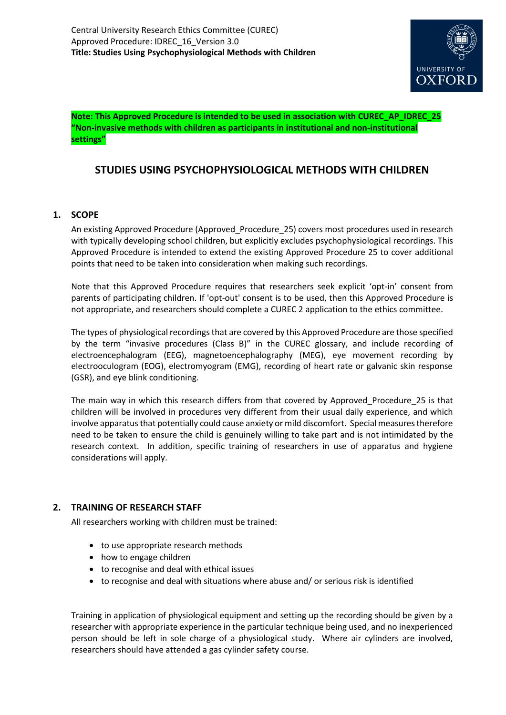

**Note: This Approved Procedure is intended to be used in association with CUREC\_AP\_IDREC\_25 "Non-invasive methods with children as participants in institutional and non-institutional settings"**

# **STUDIES USING PSYCHOPHYSIOLOGICAL METHODS WITH CHILDREN**

# **1. SCOPE**

An existing Approved Procedure (Approved Procedure 25) covers most procedures used in research with typically developing school children, but explicitly excludes psychophysiological recordings. This Approved Procedure is intended to extend the existing Approved Procedure 25 to cover additional points that need to be taken into consideration when making such recordings.

Note that this Approved Procedure requires that researchers seek explicit 'opt-in' consent from parents of participating children. If 'opt-out' consent is to be used, then this Approved Procedure is not appropriate, and researchers should complete a CUREC 2 application to the ethics committee.

The types of physiological recordings that are covered by this Approved Procedure are those specified by the term "invasive procedures (Class B)" in the CUREC glossary, and include recording of electroencephalogram (EEG), magnetoencephalography (MEG), eye movement recording by electrooculogram (EOG), electromyogram (EMG), recording of heart rate or galvanic skin response (GSR), and eye blink conditioning.

The main way in which this research differs from that covered by Approved\_Procedure\_25 is that children will be involved in procedures very different from their usual daily experience, and which involve apparatus that potentially could cause anxiety or mild discomfort. Special measures therefore need to be taken to ensure the child is genuinely willing to take part and is not intimidated by the research context. In addition, specific training of researchers in use of apparatus and hygiene considerations will apply.

# **2. TRAINING OF RESEARCH STAFF**

All researchers working with children must be trained:

- to use appropriate research methods
- how to engage children
- to recognise and deal with ethical issues
- $\bullet$  to recognise and deal with situations where abuse and/ or serious risk is identified

Training in application of physiological equipment and setting up the recording should be given by a researcher with appropriate experience in the particular technique being used, and no inexperienced person should be left in sole charge of a physiological study. Where air cylinders are involved, researchers should have attended a gas cylinder safety course.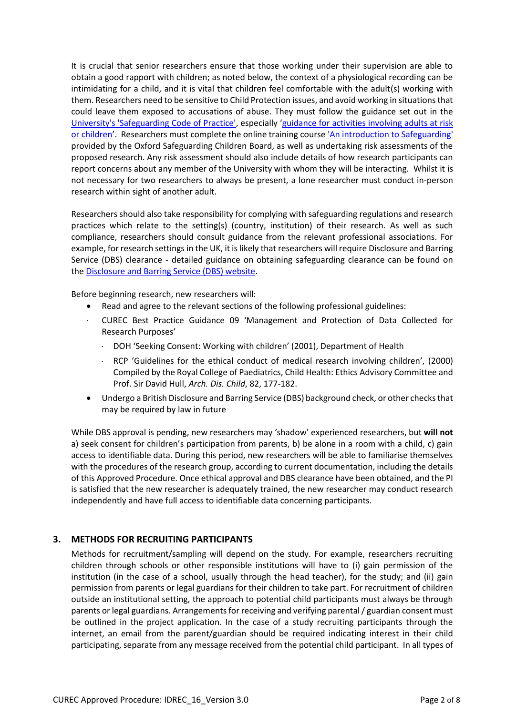It is crucial that senior researchers ensure that those working under their supervision are able to obtain a good rapport with children; as noted below, the context of a physiological recording can be intimidating for a child, and it is vital that children feel comfortable with the adult(s) working with them. Researchers need to be sensitive to Child Protection issues, and avoid working in situations that could leave them exposed to accusations of abuse. They must follow the guidance set out in the [University's 'Safeguarding Code of Practice',](https://www.admin.ox.ac.uk/personnel/cops/safeguarding/) especially 'guidance for [activities involving adults at risk](https://www.admin.ox.ac.uk/personnel/cops/safeguarding/safeguide/)  [or children](https://www.admin.ox.ac.uk/personnel/cops/safeguarding/safeguide/)'. Researchers must complete the online training course ['An introduction to Safeguarding'](https://hr.admin.ox.ac.uk/safeguarding-at-risk-adults-and-children#collapse1406916) provided by the Oxford Safeguarding Children Board, as well as undertaking risk assessments of the proposed research. Any risk assessment should also include details of how research participants can report concerns about any member of the University with whom they will be interacting. Whilst it is not necessary for two researchers to always be present, a lone researcher must conduct in-person research within sight of another adult.

Researchers should also take responsibility for complying with safeguarding regulations and research practices which relate to the setting(s) (country, institution) of their research. As well as such compliance, researchers should consult guidance from the relevant professional associations. For example, for research settings in the UK, it is likely that researchers will require Disclosure and Barring Service (DBS) clearance - detailed guidance on obtaining safeguarding clearance can be found on the [Disclosure and Barring Service \(DBS\) website.](https://www.gov.uk/disclosure-barring-service-check)

Before beginning research, new researchers will:

- Read and agree to the relevant sections of the following professional guidelines:
- CUREC Best Practice Guidance 09 'Management and Protection of Data Collected for Research Purposes'
	- DOH 'Seeking Consent: Working with children' (2001), Department of Health
	- RCP 'Guidelines for the ethical conduct of medical research involving children', (2000) Compiled by the Royal College of Paediatrics, Child Health: Ethics Advisory Committee and Prof. Sir David Hull, *Arch. Dis. Child*, 82, 177-182.
- Undergo a British Disclosure and Barring Service (DBS) background check, or other checks that may be required by law in future

While DBS approval is pending, new researchers may 'shadow' experienced researchers, but **will not** a) seek consent for children's participation from parents, b) be alone in a room with a child, c) gain access to identifiable data. During this period, new researchers will be able to familiarise themselves with the procedures of the research group, according to current documentation, including the details of this Approved Procedure. Once ethical approval and DBS clearance have been obtained, and the PI is satisfied that the new researcher is adequately trained, the new researcher may conduct research independently and have full access to identifiable data concerning participants.

# **3. METHODS FOR RECRUITING PARTICIPANTS**

Methods for recruitment/sampling will depend on the study. For example, researchers recruiting children through schools or other responsible institutions will have to (i) gain permission of the institution (in the case of a school, usually through the head teacher), for the study; and (ii) gain permission from parents or legal guardians for their children to take part. For recruitment of children outside an institutional setting, the approach to potential child participants must always be through parents or legal guardians. Arrangements for receiving and verifying parental / guardian consent must be outlined in the project application. In the case of a study recruiting participants through the internet, an email from the parent/guardian should be required indicating interest in their child participating, separate from any message received from the potential child participant. In all types of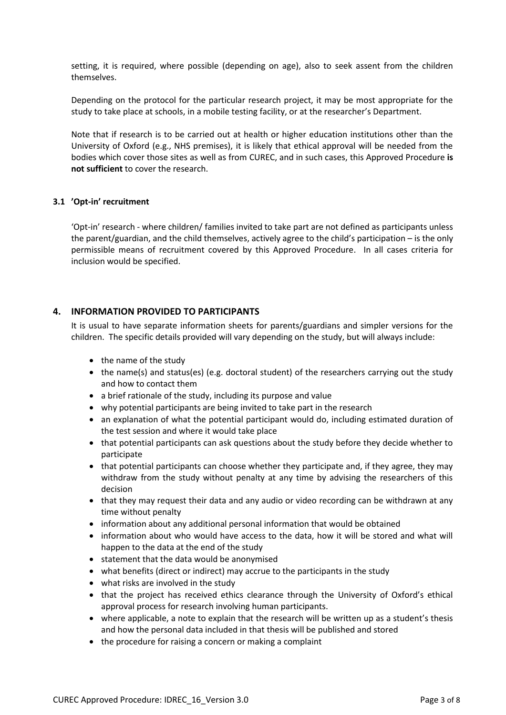setting, it is required, where possible (depending on age), also to seek assent from the children themselves.

Depending on the protocol for the particular research project, it may be most appropriate for the study to take place at schools, in a mobile testing facility, or at the researcher's Department.

Note that if research is to be carried out at health or higher education institutions other than the University of Oxford (e.g., NHS premises), it is likely that ethical approval will be needed from the bodies which cover those sites as well as from CUREC, and in such cases, this Approved Procedure **is not sufficient** to cover the research.

#### **3.1 'Opt-in' recruitment**

'Opt-in' research - where children/ families invited to take part are not defined as participants unless the parent/guardian, and the child themselves, actively agree to the child's participation – is the only permissible means of recruitment covered by this Approved Procedure. In all cases criteria for inclusion would be specified.

# **4. INFORMATION PROVIDED TO PARTICIPANTS**

It is usual to have separate information sheets for parents/guardians and simpler versions for the children. The specific details provided will vary depending on the study, but will always include:

- the name of the study
- the name(s) and status(es) (e.g. doctoral student) of the researchers carrying out the study and how to contact them
- a brief rationale of the study, including its purpose and value
- why potential participants are being invited to take part in the research
- an explanation of what the potential participant would do, including estimated duration of the test session and where it would take place
- that potential participants can ask questions about the study before they decide whether to participate
- that potential participants can choose whether they participate and, if they agree, they may withdraw from the study without penalty at any time by advising the researchers of this decision
- that they may request their data and any audio or video recording can be withdrawn at any time without penalty
- information about any additional personal information that would be obtained
- information about who would have access to the data, how it will be stored and what will happen to the data at the end of the study
- statement that the data would be anonymised
- what benefits (direct or indirect) may accrue to the participants in the study
- what risks are involved in the study
- that the project has received ethics clearance through the University of Oxford's ethical approval process for research involving human participants.
- where applicable, a note to explain that the research will be written up as a student's thesis and how the personal data included in that thesis will be published and stored
- the procedure for raising a concern or making a complaint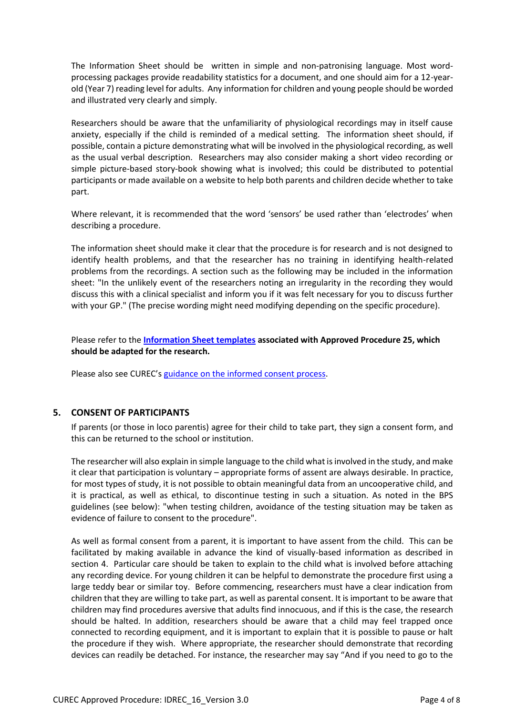The Information Sheet should be written in simple and non-patronising language. Most wordprocessing packages provide readability statistics for a document, and one should aim for a 12-yearold (Year 7) reading level for adults. Any information for children and young people should be worded and illustrated very clearly and simply.

Researchers should be aware that the unfamiliarity of physiological recordings may in itself cause anxiety, especially if the child is reminded of a medical setting. The information sheet should, if possible, contain a picture demonstrating what will be involved in the physiological recording, as well as the usual verbal description. Researchers may also consider making a short video recording or simple picture-based story-book showing what is involved; this could be distributed to potential participants or made available on a website to help both parents and children decide whether to take part.

Where relevant, it is recommended that the word 'sensors' be used rather than 'electrodes' when describing a procedure.

The information sheet should make it clear that the procedure is for research and is not designed to identify health problems, and that the researcher has no training in identifying health-related problems from the recordings. A section such as the following may be included in the information sheet: "In the unlikely event of the researchers noting an irregularity in the recording they would discuss this with a clinical specialist and inform you if it was felt necessary for you to discuss further with your GP." (The precise wording might need modifying depending on the specific procedure).

Please refer to the **[Information Sheet templates](https://researchsupport.admin.ox.ac.uk/governance/ethics/resources/ap#collapse3-1) associated with Approved Procedure 25, which should be adapted for the research.**

Please also see CUREC's [guidance on the informed consent process.](http://researchsupport.admin.ox.ac.uk/governance/ethics/resources/consent)

# **5. CONSENT OF PARTICIPANTS**

If parents (or those in loco parentis) agree for their child to take part, they sign a consent form, and this can be returned to the school or institution.

The researcher will also explain in simple language to the child what is involved in the study, and make it clear that participation is voluntary – appropriate forms of assent are always desirable. In practice, for most types of study, it is not possible to obtain meaningful data from an uncooperative child, and it is practical, as well as ethical, to discontinue testing in such a situation. As noted in the BPS guidelines (see below): "when testing children, avoidance of the testing situation may be taken as evidence of failure to consent to the procedure".

As well as formal consent from a parent, it is important to have assent from the child. This can be facilitated by making available in advance the kind of visually-based information as described in section 4. Particular care should be taken to explain to the child what is involved before attaching any recording device. For young children it can be helpful to demonstrate the procedure first using a large teddy bear or similar toy. Before commencing, researchers must have a clear indication from children that they are willing to take part, as well as parental consent. It is important to be aware that children may find procedures aversive that adults find innocuous, and if this is the case, the research should be halted. In addition, researchers should be aware that a child may feel trapped once connected to recording equipment, and it is important to explain that it is possible to pause or halt the procedure if they wish. Where appropriate, the researcher should demonstrate that recording devices can readily be detached. For instance, the researcher may say "And if you need to go to the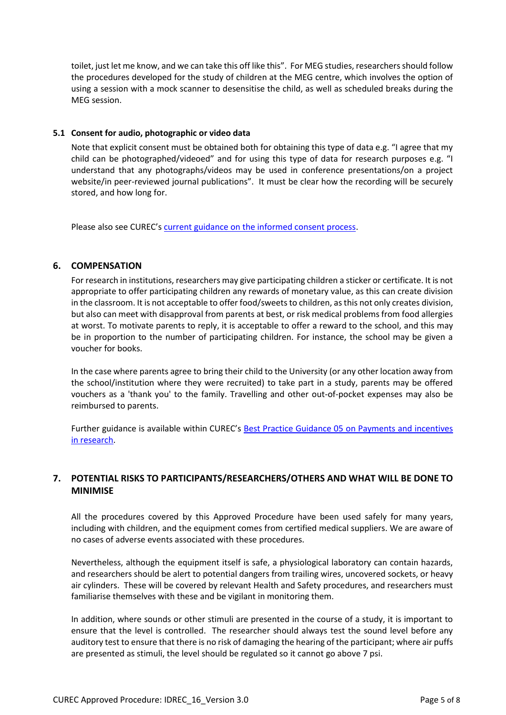toilet, just let me know, and we can take this off like this". For MEG studies, researchers should follow the procedures developed for the study of children at the MEG centre, which involves the option of using a session with a mock scanner to desensitise the child, as well as scheduled breaks during the MEG session.

#### **5.1 Consent for audio, photographic or video data**

Note that explicit consent must be obtained both for obtaining this type of data e.g. "I agree that my child can be photographed/videoed" and for using this type of data for research purposes e.g. "I understand that any photographs/videos may be used in conference presentations/on a project website/in peer-reviewed journal publications". It must be clear how the recording will be securely stored, and how long for.

Please also see CUREC's [current guidance on the informed consent process.](http://researchsupport.admin.ox.ac.uk/governance/ethics/resources/consent)

# **6. COMPENSATION**

For research in institutions, researchers may give participating children a sticker or certificate. It is not appropriate to offer participating children any rewards of monetary value, as this can create division in the classroom. It is not acceptable to offer food/sweets to children, as this not only creates division, but also can meet with disapproval from parents at best, or risk medical problems from food allergies at worst. To motivate parents to reply, it is acceptable to offer a reward to the school, and this may be in proportion to the number of participating children. For instance, the school may be given a voucher for books.

In the case where parents agree to bring their child to the University (or any other location away from the school/institution where they were recruited) to take part in a study, parents may be offered vouchers as a 'thank you' to the family. Travelling and other out-of-pocket expenses may also be reimbursed to parents.

Further guidance is available within CUREC's [Best Practice Guidance 05 on Payments and incentives](https://researchsupport.admin.ox.ac.uk/governance/ethics/resources/bpg)  [in research.](https://researchsupport.admin.ox.ac.uk/governance/ethics/resources/bpg)

# **7. POTENTIAL RISKS TO PARTICIPANTS/RESEARCHERS/OTHERS AND WHAT WILL BE DONE TO MINIMISE**

All the procedures covered by this Approved Procedure have been used safely for many years, including with children, and the equipment comes from certified medical suppliers. We are aware of no cases of adverse events associated with these procedures.

Nevertheless, although the equipment itself is safe, a physiological laboratory can contain hazards, and researchers should be alert to potential dangers from trailing wires, uncovered sockets, or heavy air cylinders. These will be covered by relevant Health and Safety procedures, and researchers must familiarise themselves with these and be vigilant in monitoring them.

In addition, where sounds or other stimuli are presented in the course of a study, it is important to ensure that the level is controlled. The researcher should always test the sound level before any auditory test to ensure that there is no risk of damaging the hearing of the participant; where air puffs are presented as stimuli, the level should be regulated so it cannot go above 7 psi.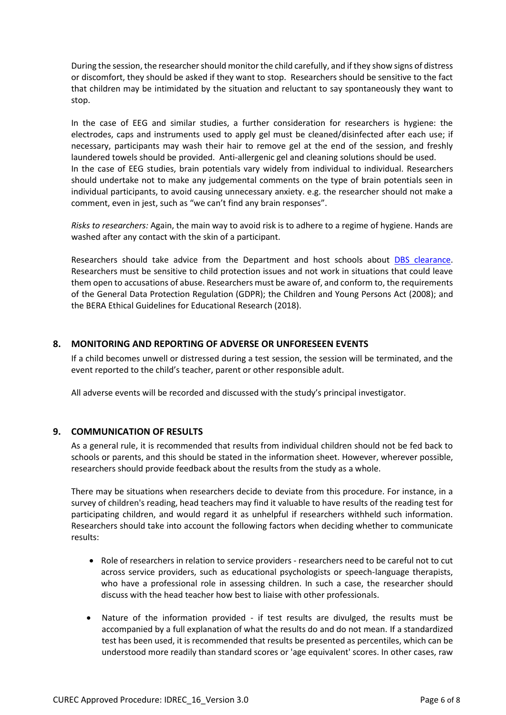During the session, the researcher should monitor the child carefully, and if they show signs of distress or discomfort, they should be asked if they want to stop. Researchers should be sensitive to the fact that children may be intimidated by the situation and reluctant to say spontaneously they want to stop.

In the case of EEG and similar studies, a further consideration for researchers is hygiene: the electrodes, caps and instruments used to apply gel must be cleaned/disinfected after each use; if necessary, participants may wash their hair to remove gel at the end of the session, and freshly laundered towels should be provided. Anti-allergenic gel and cleaning solutions should be used. In the case of EEG studies, brain potentials vary widely from individual to individual. Researchers should undertake not to make any judgemental comments on the type of brain potentials seen in individual participants, to avoid causing unnecessary anxiety. e.g. the researcher should not make a comment, even in jest, such as "we can't find any brain responses".

*Risks to researchers:* Again, the main way to avoid risk is to adhere to a regime of hygiene. Hands are washed after any contact with the skin of a participant.

Researchers should take advice from the Department and host schools about **DBS** clearance. Researchers must be sensitive to child protection issues and not work in situations that could leave them open to accusations of abuse. Researchers must be aware of, and conform to, the requirements of the General Data Protection Regulation (GDPR); the Children and Young Persons Act (2008); and the BERA Ethical Guidelines for Educational Research (2018).

# **8. MONITORING AND REPORTING OF ADVERSE OR UNFORESEEN EVENTS**

If a child becomes unwell or distressed during a test session, the session will be terminated, and the event reported to the child's teacher, parent or other responsible adult.

All adverse events will be recorded and discussed with the study's principal investigator.

# **9. COMMUNICATION OF RESULTS**

As a general rule, it is recommended that results from individual children should not be fed back to schools or parents, and this should be stated in the information sheet. However, wherever possible, researchers should provide feedback about the results from the study as a whole.

There may be situations when researchers decide to deviate from this procedure. For instance, in a survey of children's reading, head teachers may find it valuable to have results of the reading test for participating children, and would regard it as unhelpful if researchers withheld such information. Researchers should take into account the following factors when deciding whether to communicate results:

- Role of researchers in relation to service providers researchers need to be careful not to cut across service providers, such as educational psychologists or speech-language therapists, who have a professional role in assessing children. In such a case, the researcher should discuss with the head teacher how best to liaise with other professionals.
- Nature of the information provided if test results are divulged, the results must be accompanied by a full explanation of what the results do and do not mean. If a standardized test has been used, it is recommended that results be presented as percentiles, which can be understood more readily than standard scores or 'age equivalent' scores. In other cases, raw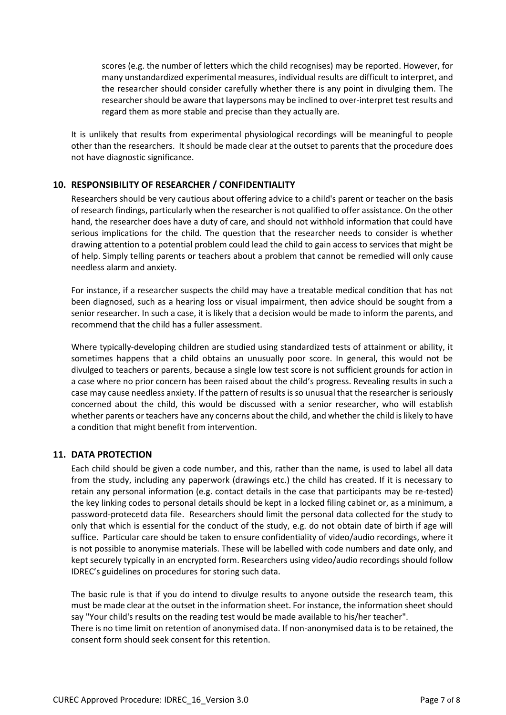scores (e.g. the number of letters which the child recognises) may be reported. However, for many unstandardized experimental measures, individual results are difficult to interpret, and the researcher should consider carefully whether there is any point in divulging them. The researcher should be aware that laypersons may be inclined to over-interpret test results and regard them as more stable and precise than they actually are.

It is unlikely that results from experimental physiological recordings will be meaningful to people other than the researchers. It should be made clear at the outset to parents that the procedure does not have diagnostic significance.

# **10. RESPONSIBILITY OF RESEARCHER / CONFIDENTIALITY**

Researchers should be very cautious about offering advice to a child's parent or teacher on the basis of research findings, particularly when the researcher is not qualified to offer assistance. On the other hand, the researcher does have a duty of care, and should not withhold information that could have serious implications for the child. The question that the researcher needs to consider is whether drawing attention to a potential problem could lead the child to gain access to services that might be of help. Simply telling parents or teachers about a problem that cannot be remedied will only cause needless alarm and anxiety.

For instance, if a researcher suspects the child may have a treatable medical condition that has not been diagnosed, such as a hearing loss or visual impairment, then advice should be sought from a senior researcher. In such a case, it is likely that a decision would be made to inform the parents, and recommend that the child has a fuller assessment.

Where typically-developing children are studied using standardized tests of attainment or ability, it sometimes happens that a child obtains an unusually poor score. In general, this would not be divulged to teachers or parents, because a single low test score is not sufficient grounds for action in a case where no prior concern has been raised about the child's progress. Revealing results in such a case may cause needless anxiety. If the pattern of results is so unusual that the researcher is seriously concerned about the child, this would be discussed with a senior researcher, who will establish whether parents or teachers have any concerns about the child, and whether the child is likely to have a condition that might benefit from intervention.

# **11. DATA PROTECTION**

Each child should be given a code number, and this, rather than the name, is used to label all data from the study, including any paperwork (drawings etc.) the child has created. If it is necessary to retain any personal information (e.g. contact details in the case that participants may be re-tested) the key linking codes to personal details should be kept in a locked filing cabinet or, as a minimum, a password-protecetd data file. Researchers should limit the personal data collected for the study to only that which is essential for the conduct of the study, e.g. do not obtain date of birth if age will suffice. Particular care should be taken to ensure confidentiality of video/audio recordings, where it is not possible to anonymise materials. These will be labelled with code numbers and date only, and kept securely typically in an encrypted form. Researchers using video/audio recordings should follow IDREC's guidelines on procedures for storing such data.

The basic rule is that if you do intend to divulge results to anyone outside the research team, this must be made clear at the outset in the information sheet. For instance, the information sheet should say "Your child's results on the reading test would be made available to his/her teacher". There is no time limit on retention of anonymised data. If non-anonymised data is to be retained, the consent form should seek consent for this retention.